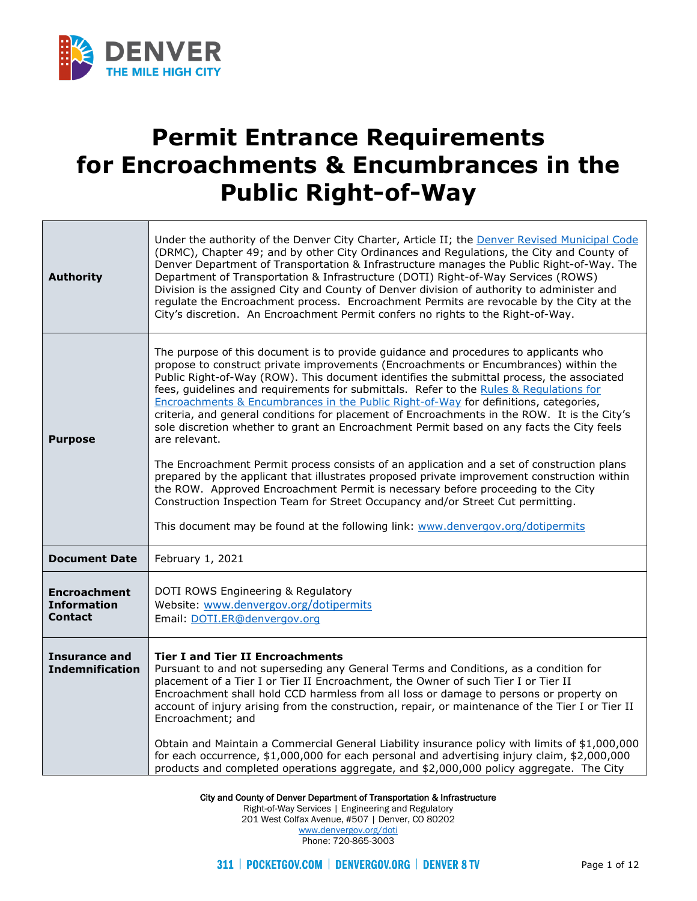

т

Г

## **Permit Entrance Requirements for Encroachments & Encumbrances in the Public Right-of-Way**

| <b>Authority</b>                                            | Under the authority of the Denver City Charter, Article II; the Denver Revised Municipal Code<br>(DRMC), Chapter 49; and by other City Ordinances and Regulations, the City and County of<br>Denver Department of Transportation & Infrastructure manages the Public Right-of-Way. The<br>Department of Transportation & Infrastructure (DOTI) Right-of-Way Services (ROWS)<br>Division is the assigned City and County of Denver division of authority to administer and<br>regulate the Encroachment process. Encroachment Permits are revocable by the City at the<br>City's discretion. An Encroachment Permit confers no rights to the Right-of-Way.                                                                                                                                                                                                                                                                                                                                                                                                                                                                        |  |  |
|-------------------------------------------------------------|----------------------------------------------------------------------------------------------------------------------------------------------------------------------------------------------------------------------------------------------------------------------------------------------------------------------------------------------------------------------------------------------------------------------------------------------------------------------------------------------------------------------------------------------------------------------------------------------------------------------------------------------------------------------------------------------------------------------------------------------------------------------------------------------------------------------------------------------------------------------------------------------------------------------------------------------------------------------------------------------------------------------------------------------------------------------------------------------------------------------------------|--|--|
| <b>Purpose</b>                                              | The purpose of this document is to provide guidance and procedures to applicants who<br>propose to construct private improvements (Encroachments or Encumbrances) within the<br>Public Right-of-Way (ROW). This document identifies the submittal process, the associated<br>fees, guidelines and requirements for submittals. Refer to the Rules & Requlations for<br>Encroachments & Encumbrances in the Public Right-of-Way for definitions, categories,<br>criteria, and general conditions for placement of Encroachments in the ROW. It is the City's<br>sole discretion whether to grant an Encroachment Permit based on any facts the City feels<br>are relevant.<br>The Encroachment Permit process consists of an application and a set of construction plans<br>prepared by the applicant that illustrates proposed private improvement construction within<br>the ROW. Approved Encroachment Permit is necessary before proceeding to the City<br>Construction Inspection Team for Street Occupancy and/or Street Cut permitting.<br>This document may be found at the following link: www.denvergov.org/dotipermits |  |  |
| <b>Document Date</b>                                        | February 1, 2021                                                                                                                                                                                                                                                                                                                                                                                                                                                                                                                                                                                                                                                                                                                                                                                                                                                                                                                                                                                                                                                                                                                 |  |  |
| <b>Encroachment</b><br><b>Information</b><br><b>Contact</b> | DOTI ROWS Engineering & Regulatory<br>Website: www.denvergov.org/dotipermits<br>Email: DOTI.ER@denvergov.org                                                                                                                                                                                                                                                                                                                                                                                                                                                                                                                                                                                                                                                                                                                                                                                                                                                                                                                                                                                                                     |  |  |
| <b>Insurance and</b><br><b>Indemnification</b>              | <b>Tier I and Tier II Encroachments</b><br>Pursuant to and not superseding any General Terms and Conditions, as a condition for<br>placement of a Tier I or Tier II Encroachment, the Owner of such Tier I or Tier II<br>Encroachment shall hold CCD harmless from all loss or damage to persons or property on<br>account of injury arising from the construction, repair, or maintenance of the Tier I or Tier II<br>Encroachment; and<br>Obtain and Maintain a Commercial General Liability insurance policy with limits of \$1,000,000<br>for each occurrence, \$1,000,000 for each personal and advertising injury claim, \$2,000,000<br>products and completed operations aggregate, and \$2,000,000 policy aggregate. The City                                                                                                                                                                                                                                                                                                                                                                                            |  |  |

City and County of Denver Department of Transportation & Infrastructure

Right-of-Way Services | Engineering and Regulatory 201 West Colfax Avenue, #507 | Denver, CO 80202 [www.denvergov.org/doti](https://www.denvergov.org/content/denvergov/en/transportation-mobility.html)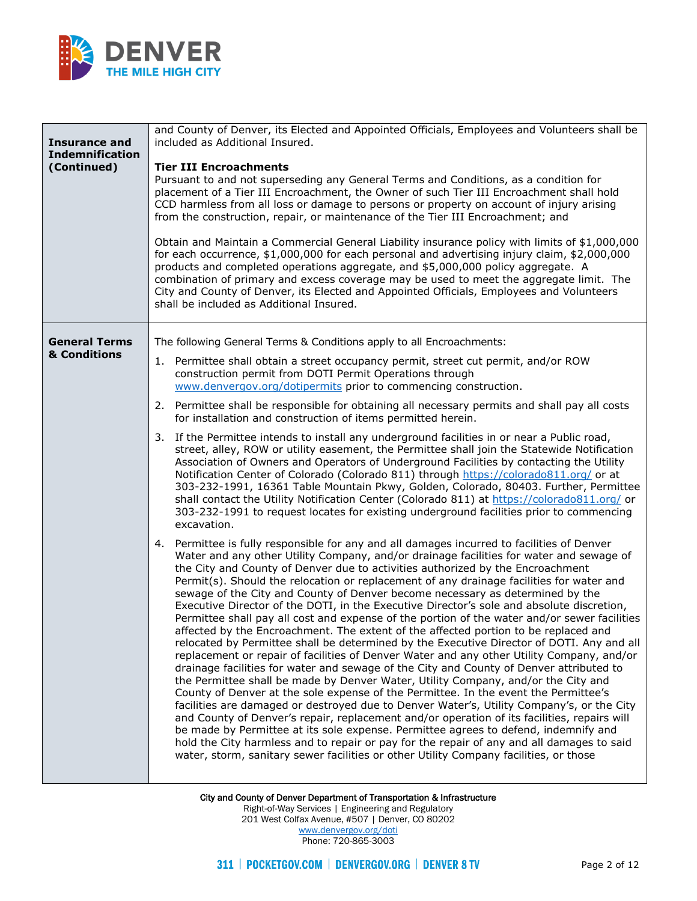

| <b>Insurance and</b><br><b>Indemnification</b><br>(Continued) | and County of Denver, its Elected and Appointed Officials, Employees and Volunteers shall be<br>included as Additional Insured.<br><b>Tier III Encroachments</b><br>Pursuant to and not superseding any General Terms and Conditions, as a condition for<br>placement of a Tier III Encroachment, the Owner of such Tier III Encroachment shall hold<br>CCD harmless from all loss or damage to persons or property on account of injury arising<br>from the construction, repair, or maintenance of the Tier III Encroachment; and<br>Obtain and Maintain a Commercial General Liability insurance policy with limits of \$1,000,000<br>for each occurrence, \$1,000,000 for each personal and advertising injury claim, \$2,000,000<br>products and completed operations aggregate, and \$5,000,000 policy aggregate. A<br>combination of primary and excess coverage may be used to meet the aggregate limit. The<br>City and County of Denver, its Elected and Appointed Officials, Employees and Volunteers<br>shall be included as Additional Insured.                                                                                                                                                                                                                                                                                                                                                                                                                                                                                                                                                                                                                                                                                                                                                                                                                                                                                                                                                                                                                                                                                                                                                                                                                                                                                                                                                                                                                                                                                                                                                                                                                                                                                                                                                                                |
|---------------------------------------------------------------|---------------------------------------------------------------------------------------------------------------------------------------------------------------------------------------------------------------------------------------------------------------------------------------------------------------------------------------------------------------------------------------------------------------------------------------------------------------------------------------------------------------------------------------------------------------------------------------------------------------------------------------------------------------------------------------------------------------------------------------------------------------------------------------------------------------------------------------------------------------------------------------------------------------------------------------------------------------------------------------------------------------------------------------------------------------------------------------------------------------------------------------------------------------------------------------------------------------------------------------------------------------------------------------------------------------------------------------------------------------------------------------------------------------------------------------------------------------------------------------------------------------------------------------------------------------------------------------------------------------------------------------------------------------------------------------------------------------------------------------------------------------------------------------------------------------------------------------------------------------------------------------------------------------------------------------------------------------------------------------------------------------------------------------------------------------------------------------------------------------------------------------------------------------------------------------------------------------------------------------------------------------------------------------------------------------------------------------------------------------------------------------------------------------------------------------------------------------------------------------------------------------------------------------------------------------------------------------------------------------------------------------------------------------------------------------------------------------------------------------------------------------------------------------------------------------------------------------------|
| <b>General Terms</b><br>& Conditions                          | The following General Terms & Conditions apply to all Encroachments:<br>Permittee shall obtain a street occupancy permit, street cut permit, and/or ROW<br>1.<br>construction permit from DOTI Permit Operations through<br>www.denvergov.org/dotipermits prior to commencing construction.<br>Permittee shall be responsible for obtaining all necessary permits and shall pay all costs<br>2.<br>for installation and construction of items permitted herein.<br>3. If the Permittee intends to install any underground facilities in or near a Public road,<br>street, alley, ROW or utility easement, the Permittee shall join the Statewide Notification<br>Association of Owners and Operators of Underground Facilities by contacting the Utility<br>Notification Center of Colorado (Colorado 811) through https://colorado811.org/ or at<br>303-232-1991, 16361 Table Mountain Pkwy, Golden, Colorado, 80403. Further, Permittee<br>shall contact the Utility Notification Center (Colorado 811) at https://colorado811.org/ or<br>303-232-1991 to request locates for existing underground facilities prior to commencing<br>excavation.<br>Permittee is fully responsible for any and all damages incurred to facilities of Denver<br>4.<br>Water and any other Utility Company, and/or drainage facilities for water and sewage of<br>the City and County of Denver due to activities authorized by the Encroachment<br>Permit(s). Should the relocation or replacement of any drainage facilities for water and<br>sewage of the City and County of Denver become necessary as determined by the<br>Executive Director of the DOTI, in the Executive Director's sole and absolute discretion,<br>Permittee shall pay all cost and expense of the portion of the water and/or sewer facilities<br>affected by the Encroachment. The extent of the affected portion to be replaced and<br>relocated by Permittee shall be determined by the Executive Director of DOTI. Any and all<br>replacement or repair of facilities of Denver Water and any other Utility Company, and/or<br>drainage facilities for water and sewage of the City and County of Denver attributed to<br>the Permittee shall be made by Denver Water, Utility Company, and/or the City and<br>County of Denver at the sole expense of the Permittee. In the event the Permittee's<br>facilities are damaged or destroyed due to Denver Water's, Utility Company's, or the City<br>and County of Denver's repair, replacement and/or operation of its facilities, repairs will<br>be made by Permittee at its sole expense. Permittee agrees to defend, indemnify and<br>hold the City harmless and to repair or pay for the repair of any and all damages to said<br>water, storm, sanitary sewer facilities or other Utility Company facilities, or those |

City and County of Denver Department of Transportation & Infrastructure Right-of-Way Services | Engineering and Regulatory 201 West Colfax Avenue, #507 | Denver, CO 80202 [www.denvergov.org/doti](https://www.denvergov.org/content/denvergov/en/transportation-mobility.html) Phone: 720-865-3003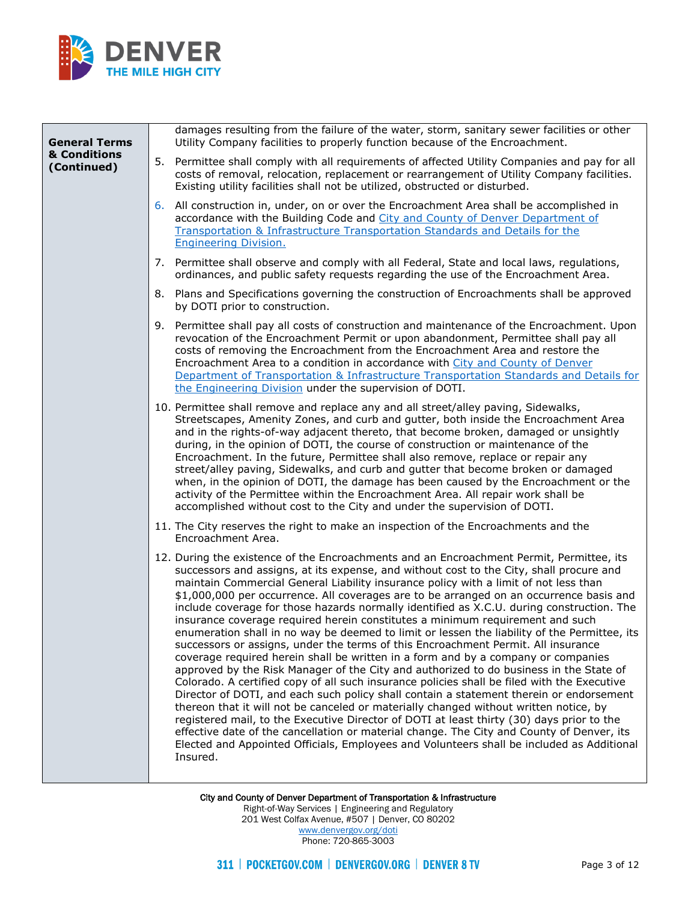

| damages resulting from the failure of the water, storm, sanitary sewer facilities or other<br>Utility Company facilities to properly function because of the Encroachment.                                                                                                                                                                                                                                                                                                                                                                                                                                                                                                                                                                                                                                                                                                                                                                                                                                                                                                                                                                                                                                                                                                                                                                                                                                                                                                                                     |
|----------------------------------------------------------------------------------------------------------------------------------------------------------------------------------------------------------------------------------------------------------------------------------------------------------------------------------------------------------------------------------------------------------------------------------------------------------------------------------------------------------------------------------------------------------------------------------------------------------------------------------------------------------------------------------------------------------------------------------------------------------------------------------------------------------------------------------------------------------------------------------------------------------------------------------------------------------------------------------------------------------------------------------------------------------------------------------------------------------------------------------------------------------------------------------------------------------------------------------------------------------------------------------------------------------------------------------------------------------------------------------------------------------------------------------------------------------------------------------------------------------------|
| 5. Permittee shall comply with all requirements of affected Utility Companies and pay for all<br>costs of removal, relocation, replacement or rearrangement of Utility Company facilities.<br>Existing utility facilities shall not be utilized, obstructed or disturbed.                                                                                                                                                                                                                                                                                                                                                                                                                                                                                                                                                                                                                                                                                                                                                                                                                                                                                                                                                                                                                                                                                                                                                                                                                                      |
| 6. All construction in, under, on or over the Encroachment Area shall be accomplished in<br>accordance with the Building Code and City and County of Denver Department of<br>Transportation & Infrastructure Transportation Standards and Details for the<br><b>Engineering Division.</b>                                                                                                                                                                                                                                                                                                                                                                                                                                                                                                                                                                                                                                                                                                                                                                                                                                                                                                                                                                                                                                                                                                                                                                                                                      |
| 7. Permittee shall observe and comply with all Federal, State and local laws, regulations,<br>ordinances, and public safety requests regarding the use of the Encroachment Area.                                                                                                                                                                                                                                                                                                                                                                                                                                                                                                                                                                                                                                                                                                                                                                                                                                                                                                                                                                                                                                                                                                                                                                                                                                                                                                                               |
| 8. Plans and Specifications governing the construction of Encroachments shall be approved<br>by DOTI prior to construction.                                                                                                                                                                                                                                                                                                                                                                                                                                                                                                                                                                                                                                                                                                                                                                                                                                                                                                                                                                                                                                                                                                                                                                                                                                                                                                                                                                                    |
| 9. Permittee shall pay all costs of construction and maintenance of the Encroachment. Upon<br>revocation of the Encroachment Permit or upon abandonment, Permittee shall pay all<br>costs of removing the Encroachment from the Encroachment Area and restore the<br>Encroachment Area to a condition in accordance with City and County of Denver<br>Department of Transportation & Infrastructure Transportation Standards and Details for<br>the Engineering Division under the supervision of DOTI.                                                                                                                                                                                                                                                                                                                                                                                                                                                                                                                                                                                                                                                                                                                                                                                                                                                                                                                                                                                                        |
| 10. Permittee shall remove and replace any and all street/alley paving, Sidewalks,<br>Streetscapes, Amenity Zones, and curb and gutter, both inside the Encroachment Area<br>and in the rights-of-way adjacent thereto, that become broken, damaged or unsightly<br>during, in the opinion of DOTI, the course of construction or maintenance of the<br>Encroachment. In the future, Permittee shall also remove, replace or repair any<br>street/alley paving, Sidewalks, and curb and gutter that become broken or damaged<br>when, in the opinion of DOTI, the damage has been caused by the Encroachment or the<br>activity of the Permittee within the Encroachment Area. All repair work shall be<br>accomplished without cost to the City and under the supervision of DOTI.                                                                                                                                                                                                                                                                                                                                                                                                                                                                                                                                                                                                                                                                                                                            |
| 11. The City reserves the right to make an inspection of the Encroachments and the<br>Encroachment Area.                                                                                                                                                                                                                                                                                                                                                                                                                                                                                                                                                                                                                                                                                                                                                                                                                                                                                                                                                                                                                                                                                                                                                                                                                                                                                                                                                                                                       |
| 12. During the existence of the Encroachments and an Encroachment Permit, Permittee, its<br>successors and assigns, at its expense, and without cost to the City, shall procure and<br>maintain Commercial General Liability insurance policy with a limit of not less than<br>\$1,000,000 per occurrence. All coverages are to be arranged on an occurrence basis and<br>include coverage for those hazards normally identified as X.C.U. during construction. The<br>insurance coverage required herein constitutes a minimum requirement and such<br>enumeration shall in no way be deemed to limit or lessen the liability of the Permittee, its<br>successors or assigns, under the terms of this Encroachment Permit. All insurance<br>coverage required herein shall be written in a form and by a company or companies<br>approved by the Risk Manager of the City and authorized to do business in the State of<br>Colorado. A certified copy of all such insurance policies shall be filed with the Executive<br>Director of DOTI, and each such policy shall contain a statement therein or endorsement<br>thereon that it will not be canceled or materially changed without written notice, by<br>registered mail, to the Executive Director of DOTI at least thirty (30) days prior to the<br>effective date of the cancellation or material change. The City and County of Denver, its<br>Elected and Appointed Officials, Employees and Volunteers shall be included as Additional<br>Insured. |
|                                                                                                                                                                                                                                                                                                                                                                                                                                                                                                                                                                                                                                                                                                                                                                                                                                                                                                                                                                                                                                                                                                                                                                                                                                                                                                                                                                                                                                                                                                                |

City and County of Denver Department of Transportation & Infrastructure Right-of-Way Services | Engineering and Regulatory 201 West Colfax Avenue, #507 | Denver, CO 80202 [www.denvergov.org/doti](https://www.denvergov.org/content/denvergov/en/transportation-mobility.html) Phone: 720-865-3003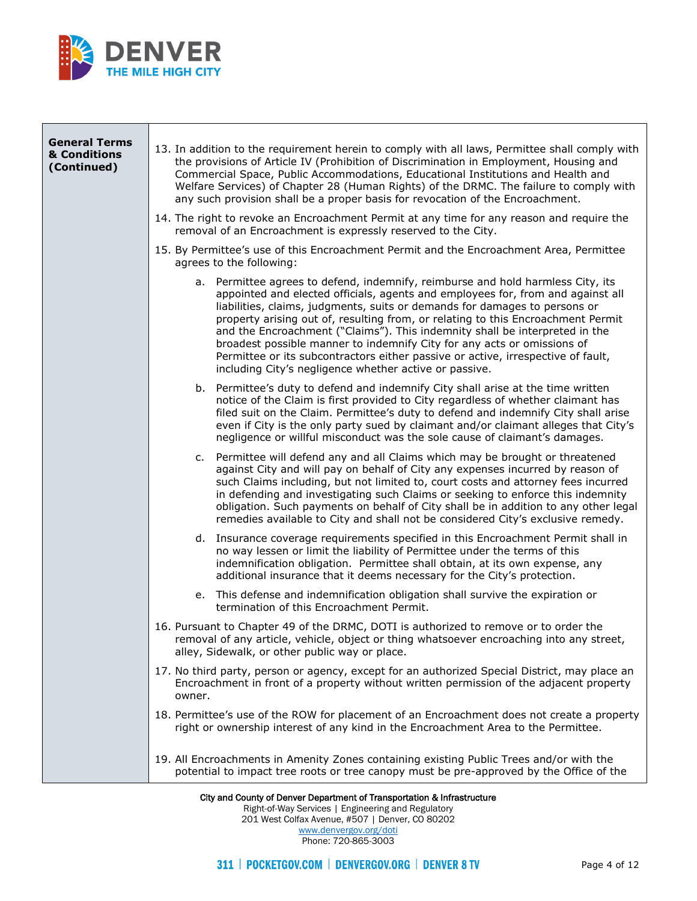

| <b>General Terms</b>        |                                                                                                                                                                                                                                                                                                                                                                                                                                                                                                                                                                                                                                              |
|-----------------------------|----------------------------------------------------------------------------------------------------------------------------------------------------------------------------------------------------------------------------------------------------------------------------------------------------------------------------------------------------------------------------------------------------------------------------------------------------------------------------------------------------------------------------------------------------------------------------------------------------------------------------------------------|
| & Conditions<br>(Continued) | 13. In addition to the requirement herein to comply with all laws, Permittee shall comply with<br>the provisions of Article IV (Prohibition of Discrimination in Employment, Housing and<br>Commercial Space, Public Accommodations, Educational Institutions and Health and<br>Welfare Services) of Chapter 28 (Human Rights) of the DRMC. The failure to comply with<br>any such provision shall be a proper basis for revocation of the Encroachment.                                                                                                                                                                                     |
|                             | 14. The right to revoke an Encroachment Permit at any time for any reason and require the<br>removal of an Encroachment is expressly reserved to the City.                                                                                                                                                                                                                                                                                                                                                                                                                                                                                   |
|                             | 15. By Permittee's use of this Encroachment Permit and the Encroachment Area, Permittee<br>agrees to the following:                                                                                                                                                                                                                                                                                                                                                                                                                                                                                                                          |
|                             | a. Permittee agrees to defend, indemnify, reimburse and hold harmless City, its<br>appointed and elected officials, agents and employees for, from and against all<br>liabilities, claims, judgments, suits or demands for damages to persons or<br>property arising out of, resulting from, or relating to this Encroachment Permit<br>and the Encroachment ("Claims"). This indemnity shall be interpreted in the<br>broadest possible manner to indemnify City for any acts or omissions of<br>Permittee or its subcontractors either passive or active, irrespective of fault,<br>including City's negligence whether active or passive. |
|                             | b. Permittee's duty to defend and indemnify City shall arise at the time written<br>notice of the Claim is first provided to City regardless of whether claimant has<br>filed suit on the Claim. Permittee's duty to defend and indemnify City shall arise<br>even if City is the only party sued by claimant and/or claimant alleges that City's<br>negligence or willful misconduct was the sole cause of claimant's damages.                                                                                                                                                                                                              |
|                             | c. Permittee will defend any and all Claims which may be brought or threatened<br>against City and will pay on behalf of City any expenses incurred by reason of<br>such Claims including, but not limited to, court costs and attorney fees incurred<br>in defending and investigating such Claims or seeking to enforce this indemnity<br>obligation. Such payments on behalf of City shall be in addition to any other legal<br>remedies available to City and shall not be considered City's exclusive remedy.                                                                                                                           |
|                             | d. Insurance coverage requirements specified in this Encroachment Permit shall in<br>no way lessen or limit the liability of Permittee under the terms of this<br>indemnification obligation. Permittee shall obtain, at its own expense, any<br>additional insurance that it deems necessary for the City's protection.                                                                                                                                                                                                                                                                                                                     |
|                             | e. This defense and indemnification obligation shall survive the expiration or<br>termination of this Encroachment Permit.                                                                                                                                                                                                                                                                                                                                                                                                                                                                                                                   |
|                             | 16. Pursuant to Chapter 49 of the DRMC, DOTI is authorized to remove or to order the<br>removal of any article, vehicle, object or thing whatsoever encroaching into any street,<br>alley, Sidewalk, or other public way or place.                                                                                                                                                                                                                                                                                                                                                                                                           |
|                             | 17. No third party, person or agency, except for an authorized Special District, may place an<br>Encroachment in front of a property without written permission of the adjacent property<br>owner.                                                                                                                                                                                                                                                                                                                                                                                                                                           |
|                             | 18. Permittee's use of the ROW for placement of an Encroachment does not create a property<br>right or ownership interest of any kind in the Encroachment Area to the Permittee.                                                                                                                                                                                                                                                                                                                                                                                                                                                             |
|                             | 19. All Encroachments in Amenity Zones containing existing Public Trees and/or with the<br>potential to impact tree roots or tree canopy must be pre-approved by the Office of the                                                                                                                                                                                                                                                                                                                                                                                                                                                           |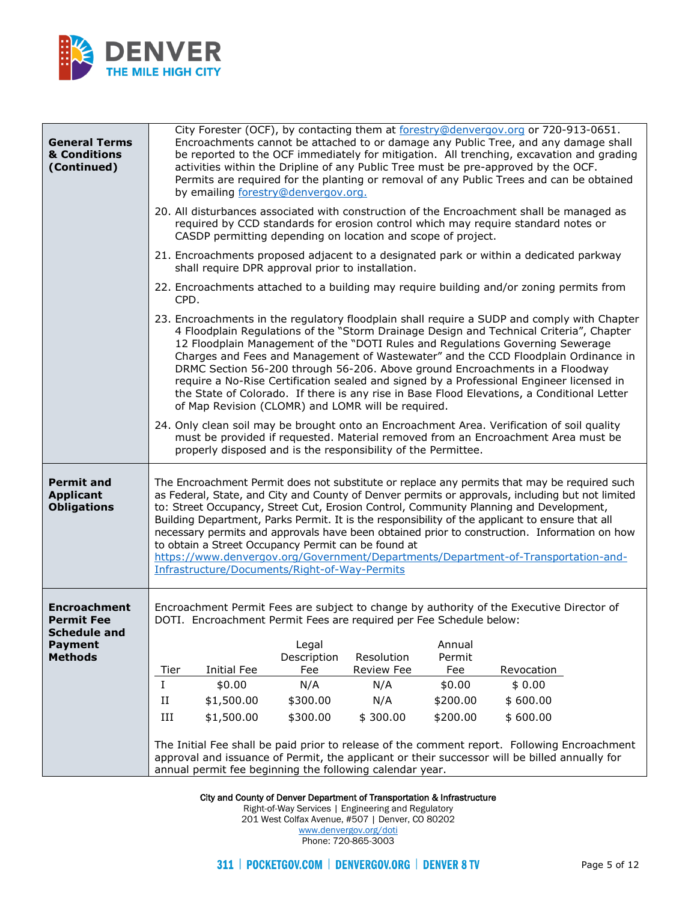

| <b>General Terms</b><br>& Conditions<br>(Continued)                               |          |                    | by emailing forestry@denvergov.org.               |                                                                     |          | City Forester (OCF), by contacting them at forestry@denvergov.org or 720-913-0651.<br>Encroachments cannot be attached to or damage any Public Tree, and any damage shall<br>be reported to the OCF immediately for mitigation. All trenching, excavation and grading<br>activities within the Dripline of any Public Tree must be pre-approved by the OCF.<br>Permits are required for the planting or removal of any Public Trees and can be obtained                                                                                                                                                                                  |
|-----------------------------------------------------------------------------------|----------|--------------------|---------------------------------------------------|---------------------------------------------------------------------|----------|------------------------------------------------------------------------------------------------------------------------------------------------------------------------------------------------------------------------------------------------------------------------------------------------------------------------------------------------------------------------------------------------------------------------------------------------------------------------------------------------------------------------------------------------------------------------------------------------------------------------------------------|
|                                                                                   |          |                    |                                                   | CASDP permitting depending on location and scope of project.        |          | 20. All disturbances associated with construction of the Encroachment shall be managed as<br>required by CCD standards for erosion control which may require standard notes or                                                                                                                                                                                                                                                                                                                                                                                                                                                           |
|                                                                                   |          |                    | shall require DPR approval prior to installation. |                                                                     |          | 21. Encroachments proposed adjacent to a designated park or within a dedicated parkway                                                                                                                                                                                                                                                                                                                                                                                                                                                                                                                                                   |
|                                                                                   | CPD.     |                    |                                                   |                                                                     |          | 22. Encroachments attached to a building may require building and/or zoning permits from                                                                                                                                                                                                                                                                                                                                                                                                                                                                                                                                                 |
|                                                                                   |          |                    |                                                   | of Map Revision (CLOMR) and LOMR will be required.                  |          | 23. Encroachments in the regulatory floodplain shall require a SUDP and comply with Chapter<br>4 Floodplain Regulations of the "Storm Drainage Design and Technical Criteria", Chapter<br>12 Floodplain Management of the "DOTI Rules and Regulations Governing Sewerage<br>Charges and Fees and Management of Wastewater" and the CCD Floodplain Ordinance in<br>DRMC Section 56-200 through 56-206. Above ground Encroachments in a Floodway<br>require a No-Rise Certification sealed and signed by a Professional Engineer licensed in<br>the State of Colorado. If there is any rise in Base Flood Elevations, a Conditional Letter |
|                                                                                   |          |                    |                                                   | properly disposed and is the responsibility of the Permittee.       |          | 24. Only clean soil may be brought onto an Encroachment Area. Verification of soil quality<br>must be provided if requested. Material removed from an Encroachment Area must be                                                                                                                                                                                                                                                                                                                                                                                                                                                          |
| <b>Permit and</b><br><b>Applicant</b><br><b>Obligations</b>                       |          |                    | Infrastructure/Documents/Right-of-Way-Permits     | to obtain a Street Occupancy Permit can be found at                 |          | The Encroachment Permit does not substitute or replace any permits that may be required such<br>as Federal, State, and City and County of Denver permits or approvals, including but not limited<br>to: Street Occupancy, Street Cut, Erosion Control, Community Planning and Development,<br>Building Department, Parks Permit. It is the responsibility of the applicant to ensure that all<br>necessary permits and approvals have been obtained prior to construction. Information on how<br>https://www.denvergov.org/Government/Departments/Department-of-Transportation-and-                                                      |
| <b>Encroachment</b><br><b>Permit Fee</b><br><b>Schedule and</b><br><b>Payment</b> |          |                    | Legal                                             | DOTI. Encroachment Permit Fees are required per Fee Schedule below: | Annual   | Encroachment Permit Fees are subject to change by authority of the Executive Director of                                                                                                                                                                                                                                                                                                                                                                                                                                                                                                                                                 |
| <b>Methods</b>                                                                    |          |                    | Description                                       | Resolution                                                          | Permit   |                                                                                                                                                                                                                                                                                                                                                                                                                                                                                                                                                                                                                                          |
|                                                                                   | Tier     | <b>Initial Fee</b> | Fee                                               | <b>Review Fee</b>                                                   | Fee      | Revocation                                                                                                                                                                                                                                                                                                                                                                                                                                                                                                                                                                                                                               |
|                                                                                   | L        | \$0.00             | N/A                                               | N/A                                                                 | \$0.00   | \$0.00                                                                                                                                                                                                                                                                                                                                                                                                                                                                                                                                                                                                                                   |
|                                                                                   | $\rm II$ | \$1,500.00         | \$300.00                                          | N/A                                                                 | \$200.00 | \$600.00                                                                                                                                                                                                                                                                                                                                                                                                                                                                                                                                                                                                                                 |
|                                                                                   | Ш        | \$1,500.00         | \$300.00                                          | \$300.00                                                            | \$200.00 | \$600.00                                                                                                                                                                                                                                                                                                                                                                                                                                                                                                                                                                                                                                 |
|                                                                                   |          |                    |                                                   | annual permit fee beginning the following calendar year.            |          | The Initial Fee shall be paid prior to release of the comment report. Following Encroachment<br>approval and issuance of Permit, the applicant or their successor will be billed annually for                                                                                                                                                                                                                                                                                                                                                                                                                                            |

Right-of-Way Services | Engineering and Regulatory

201 West Colfax Avenue, #507 | Denver, CO 80202 [www.denvergov.org/doti](https://www.denvergov.org/content/denvergov/en/transportation-mobility.html)

Phone: 720-865-3003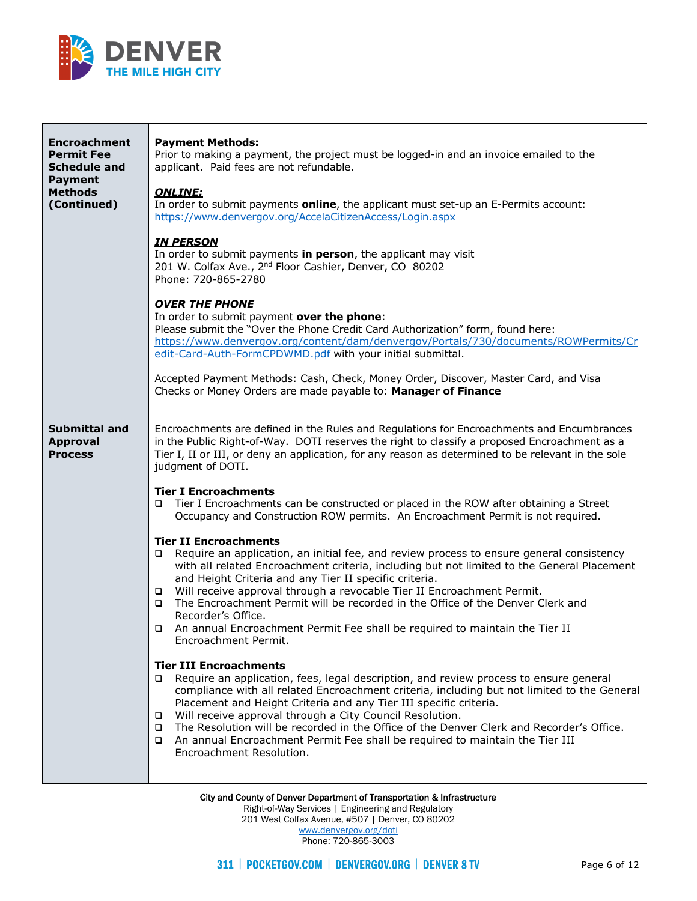

| <b>Encroachment</b><br><b>Permit Fee</b><br><b>Schedule and</b><br><b>Payment</b><br><b>Methods</b><br>(Continued) | <b>Payment Methods:</b><br>Prior to making a payment, the project must be logged-in and an invoice emailed to the<br>applicant. Paid fees are not refundable.<br><b>ONLINE:</b><br>In order to submit payments online, the applicant must set-up an E-Permits account:<br>https://www.denvergov.org/AccelaCitizenAccess/Login.aspx<br><b>IN PERSON</b><br>In order to submit payments in person, the applicant may visit<br>201 W. Colfax Ave., 2 <sup>nd</sup> Floor Cashier, Denver, CO 80202<br>Phone: 720-865-2780<br><b>OVER THE PHONE</b><br>In order to submit payment over the phone:<br>Please submit the "Over the Phone Credit Card Authorization" form, found here:<br>https://www.denvergov.org/content/dam/denvergov/Portals/730/documents/ROWPermits/Cr<br>edit-Card-Auth-FormCPDWMD.pdf with your initial submittal.<br>Accepted Payment Methods: Cash, Check, Money Order, Discover, Master Card, and Visa<br>Checks or Money Orders are made payable to: Manager of Finance                                                                                                                                                                                                                                                                                                                                                                                                                                                                                                                                                                                                                                                                                                                                                             |
|--------------------------------------------------------------------------------------------------------------------|-----------------------------------------------------------------------------------------------------------------------------------------------------------------------------------------------------------------------------------------------------------------------------------------------------------------------------------------------------------------------------------------------------------------------------------------------------------------------------------------------------------------------------------------------------------------------------------------------------------------------------------------------------------------------------------------------------------------------------------------------------------------------------------------------------------------------------------------------------------------------------------------------------------------------------------------------------------------------------------------------------------------------------------------------------------------------------------------------------------------------------------------------------------------------------------------------------------------------------------------------------------------------------------------------------------------------------------------------------------------------------------------------------------------------------------------------------------------------------------------------------------------------------------------------------------------------------------------------------------------------------------------------------------------------------------------------------------------------------------------------------------|
| <b>Submittal and</b><br><b>Approval</b><br><b>Process</b>                                                          | Encroachments are defined in the Rules and Regulations for Encroachments and Encumbrances<br>in the Public Right-of-Way. DOTI reserves the right to classify a proposed Encroachment as a<br>Tier I, II or III, or deny an application, for any reason as determined to be relevant in the sole<br>judgment of DOTI.<br><b>Tier I Encroachments</b><br>Tier I Encroachments can be constructed or placed in the ROW after obtaining a Street<br>$\Box$<br>Occupancy and Construction ROW permits. An Encroachment Permit is not required.<br><b>Tier II Encroachments</b><br>Require an application, an initial fee, and review process to ensure general consistency<br>$\Box$<br>with all related Encroachment criteria, including but not limited to the General Placement<br>and Height Criteria and any Tier II specific criteria.<br>Will receive approval through a revocable Tier II Encroachment Permit.<br>$\Box$<br>The Encroachment Permit will be recorded in the Office of the Denver Clerk and<br>$\Box$<br>Recorder's Office.<br>An annual Encroachment Permit Fee shall be required to maintain the Tier II<br>Encroachment Permit.<br><b>Tier III Encroachments</b><br>Require an application, fees, legal description, and review process to ensure general<br>$\Box$<br>compliance with all related Encroachment criteria, including but not limited to the General<br>Placement and Height Criteria and any Tier III specific criteria.<br>Will receive approval through a City Council Resolution.<br>□<br>The Resolution will be recorded in the Office of the Denver Clerk and Recorder's Office.<br>$\Box$<br>An annual Encroachment Permit Fee shall be required to maintain the Tier III<br>$\Box$<br>Encroachment Resolution. |

Right-of-Way Services | Engineering and Regulatory 201 West Colfax Avenue, #507 | Denver, CO 80202

> [www.denvergov.org/doti](https://www.denvergov.org/content/denvergov/en/transportation-mobility.html) Phone: 720-865-3003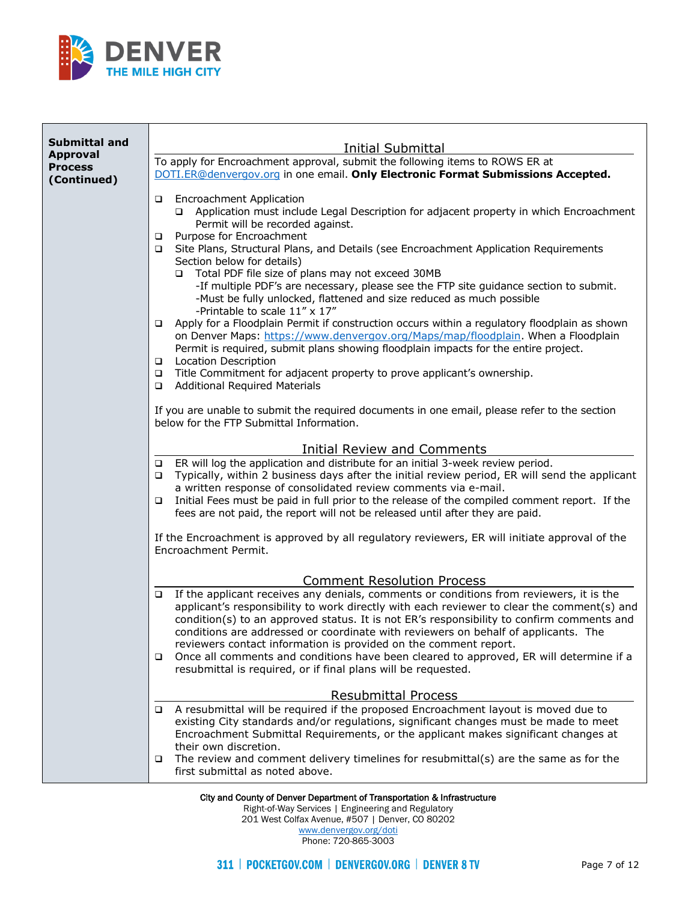

| <b>Submittal and</b> |                                                                                                                                                                                       |  |  |  |
|----------------------|---------------------------------------------------------------------------------------------------------------------------------------------------------------------------------------|--|--|--|
| <b>Approval</b>      | Initial Submittal                                                                                                                                                                     |  |  |  |
| <b>Process</b>       | To apply for Encroachment approval, submit the following items to ROWS ER at<br>DOTI.ER@denvergov.org in one email. Only Electronic Format Submissions Accepted.                      |  |  |  |
| (Continued)          |                                                                                                                                                                                       |  |  |  |
|                      | <b>Encroachment Application</b><br>❏                                                                                                                                                  |  |  |  |
|                      | Application must include Legal Description for adjacent property in which Encroachment<br>▫                                                                                           |  |  |  |
|                      | Permit will be recorded against.                                                                                                                                                      |  |  |  |
|                      | Purpose for Encroachment<br>$\Box$<br>Site Plans, Structural Plans, and Details (see Encroachment Application Requirements<br>□                                                       |  |  |  |
|                      | Section below for details)                                                                                                                                                            |  |  |  |
|                      | Total PDF file size of plans may not exceed 30MB<br>□                                                                                                                                 |  |  |  |
|                      | -If multiple PDF's are necessary, please see the FTP site guidance section to submit.                                                                                                 |  |  |  |
|                      | -Must be fully unlocked, flattened and size reduced as much possible                                                                                                                  |  |  |  |
|                      | -Printable to scale 11" x 17"                                                                                                                                                         |  |  |  |
|                      | Apply for a Floodplain Permit if construction occurs within a regulatory floodplain as shown<br>□<br>on Denver Maps: https://www.denvergov.org/Maps/map/floodplain. When a Floodplain |  |  |  |
|                      | Permit is required, submit plans showing floodplain impacts for the entire project.                                                                                                   |  |  |  |
|                      | <b>Location Description</b><br>$\Box$                                                                                                                                                 |  |  |  |
|                      | Title Commitment for adjacent property to prove applicant's ownership.<br>□                                                                                                           |  |  |  |
|                      | <b>Additional Required Materials</b><br>❏                                                                                                                                             |  |  |  |
|                      | If you are unable to submit the required documents in one email, please refer to the section                                                                                          |  |  |  |
|                      | below for the FTP Submittal Information.                                                                                                                                              |  |  |  |
|                      |                                                                                                                                                                                       |  |  |  |
|                      | Initial Review and Comments                                                                                                                                                           |  |  |  |
|                      | ER will log the application and distribute for an initial 3-week review period.<br>▫<br>Typically, within 2 business days after the initial review period, ER will send the applicant |  |  |  |
|                      | ▫<br>a written response of consolidated review comments via e-mail.                                                                                                                   |  |  |  |
|                      | Initial Fees must be paid in full prior to the release of the compiled comment report. If the<br>❏                                                                                    |  |  |  |
|                      | fees are not paid, the report will not be released until after they are paid.                                                                                                         |  |  |  |
|                      |                                                                                                                                                                                       |  |  |  |
|                      | If the Encroachment is approved by all regulatory reviewers, ER will initiate approval of the<br>Encroachment Permit.                                                                 |  |  |  |
|                      |                                                                                                                                                                                       |  |  |  |
|                      | <b>Comment Resolution Process</b>                                                                                                                                                     |  |  |  |
|                      | If the applicant receives any denials, comments or conditions from reviewers, it is the<br>□                                                                                          |  |  |  |
|                      | applicant's responsibility to work directly with each reviewer to clear the comment(s) and                                                                                            |  |  |  |
|                      | condition(s) to an approved status. It is not ER's responsibility to confirm comments and                                                                                             |  |  |  |
|                      | conditions are addressed or coordinate with reviewers on behalf of applicants. The                                                                                                    |  |  |  |
|                      | reviewers contact information is provided on the comment report.<br>Once all comments and conditions have been cleared to approved, ER will determine if a<br>□                       |  |  |  |
|                      | resubmittal is required, or if final plans will be requested.                                                                                                                         |  |  |  |
|                      |                                                                                                                                                                                       |  |  |  |
|                      | <b>Resubmittal Process</b>                                                                                                                                                            |  |  |  |
|                      | A resubmittal will be required if the proposed Encroachment layout is moved due to<br>$\Box$                                                                                          |  |  |  |
|                      | existing City standards and/or regulations, significant changes must be made to meet                                                                                                  |  |  |  |
|                      | Encroachment Submittal Requirements, or the applicant makes significant changes at<br>their own discretion.                                                                           |  |  |  |
|                      | The review and comment delivery timelines for resubmittal(s) are the same as for the<br>□                                                                                             |  |  |  |
|                      | first submittal as noted above.                                                                                                                                                       |  |  |  |
|                      |                                                                                                                                                                                       |  |  |  |

Right-of-Way Services | Engineering and Regulatory 201 West Colfax Avenue, #507 | Denver, CO 80202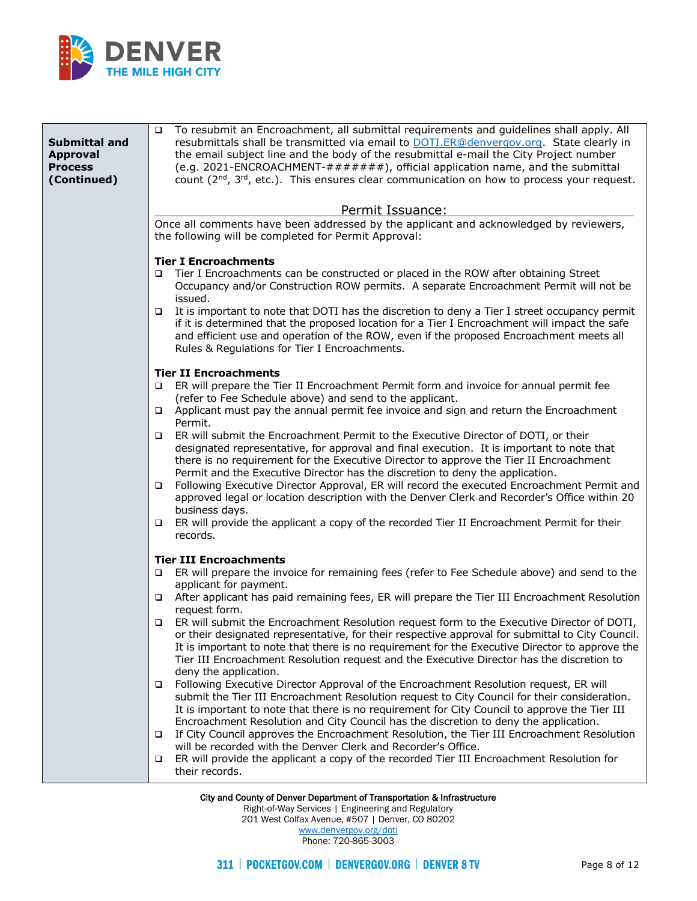

| Submittal and<br><b>Approval</b><br><b>Process</b><br>(Continued) | To resubmit an Encroachment, all submittal requirements and guidelines shall apply. All<br>$\Box$<br>resubmittals shall be transmitted via email to <b>DOTI.ER@denvergov.org</b> . State clearly in<br>the email subject line and the body of the resubmittal e-mail the City Project number<br>(e.g. 2021-ENCROACHMENT-#######), official application name, and the submittal<br>count $(2^{nd}, 3^{rd}, etc.).$ This ensures clear communication on how to process your request. |
|-------------------------------------------------------------------|------------------------------------------------------------------------------------------------------------------------------------------------------------------------------------------------------------------------------------------------------------------------------------------------------------------------------------------------------------------------------------------------------------------------------------------------------------------------------------|
|                                                                   | Permit Issuance:<br>Once all comments have been addressed by the applicant and acknowledged by reviewers,<br>the following will be completed for Permit Approval:                                                                                                                                                                                                                                                                                                                  |
|                                                                   |                                                                                                                                                                                                                                                                                                                                                                                                                                                                                    |
|                                                                   | <b>Tier I Encroachments</b><br>Tier I Encroachments can be constructed or placed in the ROW after obtaining Street<br>□<br>Occupancy and/or Construction ROW permits. A separate Encroachment Permit will not be<br>issued.                                                                                                                                                                                                                                                        |
|                                                                   | It is important to note that DOTI has the discretion to deny a Tier I street occupancy permit<br>□<br>if it is determined that the proposed location for a Tier I Encroachment will impact the safe<br>and efficient use and operation of the ROW, even if the proposed Encroachment meets all<br>Rules & Regulations for Tier I Encroachments.                                                                                                                                    |
|                                                                   | <b>Tier II Encroachments</b>                                                                                                                                                                                                                                                                                                                                                                                                                                                       |
|                                                                   | ER will prepare the Tier II Encroachment Permit form and invoice for annual permit fee<br>□                                                                                                                                                                                                                                                                                                                                                                                        |
|                                                                   | (refer to Fee Schedule above) and send to the applicant.<br>Applicant must pay the annual permit fee invoice and sign and return the Encroachment                                                                                                                                                                                                                                                                                                                                  |
|                                                                   | $\Box$<br>Permit.                                                                                                                                                                                                                                                                                                                                                                                                                                                                  |
|                                                                   | ER will submit the Encroachment Permit to the Executive Director of DOTI, or their<br>□<br>designated representative, for approval and final execution. It is important to note that<br>there is no requirement for the Executive Director to approve the Tier II Encroachment<br>Permit and the Executive Director has the discretion to deny the application.<br>Following Executive Director Approval, ER will record the executed Encroachment Permit and<br>□                 |
|                                                                   | approved legal or location description with the Denver Clerk and Recorder's Office within 20<br>business days.                                                                                                                                                                                                                                                                                                                                                                     |
|                                                                   | ER will provide the applicant a copy of the recorded Tier II Encroachment Permit for their<br>□<br>records.                                                                                                                                                                                                                                                                                                                                                                        |
|                                                                   | <b>Tier III Encroachments</b>                                                                                                                                                                                                                                                                                                                                                                                                                                                      |
|                                                                   | ER will prepare the invoice for remaining fees (refer to Fee Schedule above) and send to the<br>$\Box$                                                                                                                                                                                                                                                                                                                                                                             |
|                                                                   | applicant for payment.<br>After applicant has paid remaining fees, ER will prepare the Tier III Encroachment Resolution<br>$\Box$<br>request form.                                                                                                                                                                                                                                                                                                                                 |
|                                                                   | ER will submit the Encroachment Resolution request form to the Executive Director of DOTI,<br>$\Box$<br>or their designated representative, for their respective approval for submittal to City Council.<br>It is important to note that there is no requirement for the Executive Director to approve the<br>Tier III Encroachment Resolution request and the Executive Director has the discretion to                                                                            |
|                                                                   | deny the application.<br>Following Executive Director Approval of the Encroachment Resolution request, ER will<br>$\Box$<br>submit the Tier III Encroachment Resolution request to City Council for their consideration.<br>It is important to note that there is no requirement for City Council to approve the Tier III<br>Encroachment Resolution and City Council has the discretion to deny the application.                                                                  |
|                                                                   | If City Council approves the Encroachment Resolution, the Tier III Encroachment Resolution<br>□                                                                                                                                                                                                                                                                                                                                                                                    |
|                                                                   | will be recorded with the Denver Clerk and Recorder's Office.<br>ER will provide the applicant a copy of the recorded Tier III Encroachment Resolution for<br>□<br>their records.                                                                                                                                                                                                                                                                                                  |
|                                                                   |                                                                                                                                                                                                                                                                                                                                                                                                                                                                                    |

Right-of-Way Services | Engineering and Regulatory 201 West Colfax Avenue, #507 | Denver, CO 80202

[www.denvergov.org/doti](https://www.denvergov.org/content/denvergov/en/transportation-mobility.html) Phone: 720-865-3003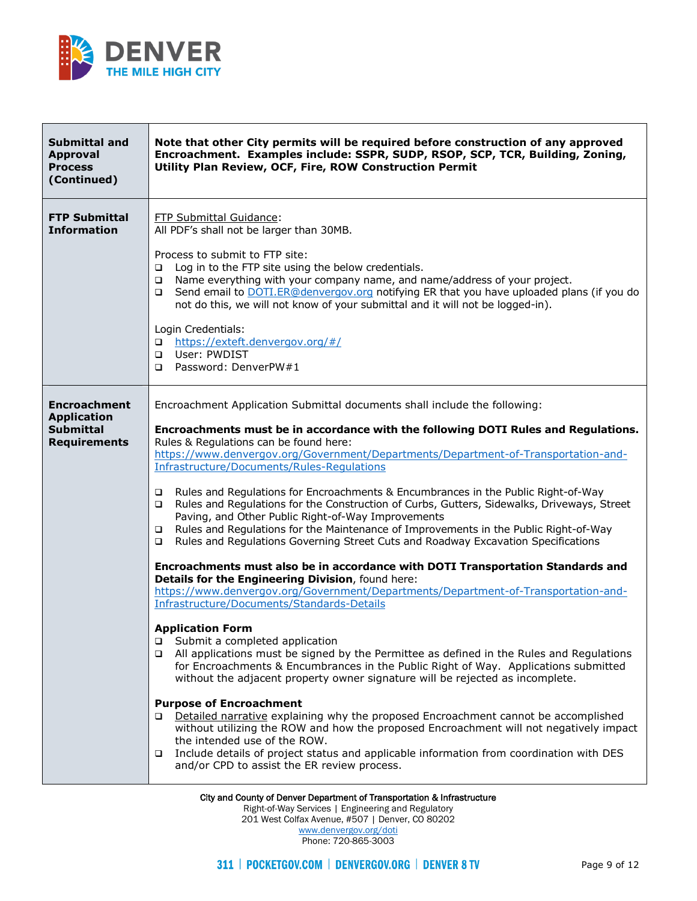

| <b>Submittal and</b><br><b>Approval</b><br><b>Process</b><br>(Continued)             | Note that other City permits will be required before construction of any approved<br>Encroachment. Examples include: SSPR, SUDP, RSOP, SCP, TCR, Building, Zoning,<br>Utility Plan Review, OCF, Fire, ROW Construction Permit                                                                                                                                                                                                                                                                                                                                                                                                                                                                                                                                                                                                                                                                                                                                                                                                                                                                                                                                                                                                                                                                                                                                                                                                                                                                                                                                                                                                                                                                                                                                                                                                                 |
|--------------------------------------------------------------------------------------|-----------------------------------------------------------------------------------------------------------------------------------------------------------------------------------------------------------------------------------------------------------------------------------------------------------------------------------------------------------------------------------------------------------------------------------------------------------------------------------------------------------------------------------------------------------------------------------------------------------------------------------------------------------------------------------------------------------------------------------------------------------------------------------------------------------------------------------------------------------------------------------------------------------------------------------------------------------------------------------------------------------------------------------------------------------------------------------------------------------------------------------------------------------------------------------------------------------------------------------------------------------------------------------------------------------------------------------------------------------------------------------------------------------------------------------------------------------------------------------------------------------------------------------------------------------------------------------------------------------------------------------------------------------------------------------------------------------------------------------------------------------------------------------------------------------------------------------------------|
| <b>FTP Submittal</b><br><b>Information</b>                                           | FTP Submittal Guidance:<br>All PDF's shall not be larger than 30MB.<br>Process to submit to FTP site:<br>Log in to the FTP site using the below credentials.<br>□<br>Name everything with your company name, and name/address of your project.<br>$\Box$<br>Send email to DOTI.ER@denvergov.org notifying ER that you have uploaded plans (if you do<br>$\Box$<br>not do this, we will not know of your submittal and it will not be logged-in).<br>Login Credentials:<br>https://exteft.denvergov.org/#/<br>$\Box$<br>User: PWDIST<br>$\Box$<br>Password: DenverPW#1<br>$\Box$                                                                                                                                                                                                                                                                                                                                                                                                                                                                                                                                                                                                                                                                                                                                                                                                                                                                                                                                                                                                                                                                                                                                                                                                                                                               |
| <b>Encroachment</b><br><b>Application</b><br><b>Submittal</b><br><b>Requirements</b> | Encroachment Application Submittal documents shall include the following:<br>Encroachments must be in accordance with the following DOTI Rules and Regulations.<br>Rules & Regulations can be found here:<br>https://www.denvergov.org/Government/Departments/Department-of-Transportation-and-<br>Infrastructure/Documents/Rules-Regulations<br>Rules and Regulations for Encroachments & Encumbrances in the Public Right-of-Way<br>$\Box$<br>Rules and Regulations for the Construction of Curbs, Gutters, Sidewalks, Driveways, Street<br>$\Box$<br>Paving, and Other Public Right-of-Way Improvements<br>Rules and Regulations for the Maintenance of Improvements in the Public Right-of-Way<br>$\Box$<br>Rules and Regulations Governing Street Cuts and Roadway Excavation Specifications<br>$\Box$<br>Encroachments must also be in accordance with DOTI Transportation Standards and<br>Details for the Engineering Division, found here:<br>https://www.denvergov.org/Government/Departments/Department-of-Transportation-and-<br>Infrastructure/Documents/Standards-Details<br><b>Application Form</b><br>Submit a completed application<br>❏<br>All applications must be signed by the Permittee as defined in the Rules and Regulations<br>□<br>for Encroachments & Encumbrances in the Public Right of Way. Applications submitted<br>without the adjacent property owner signature will be rejected as incomplete.<br><b>Purpose of Encroachment</b><br>Detailed narrative explaining why the proposed Encroachment cannot be accomplished<br>□<br>without utilizing the ROW and how the proposed Encroachment will not negatively impact<br>the intended use of the ROW.<br>Include details of project status and applicable information from coordination with DES<br>$\Box$<br>and/or CPD to assist the ER review process. |

Right-of-Way Services | Engineering and Regulatory 201 West Colfax Avenue, #507 | Denver, CO 80202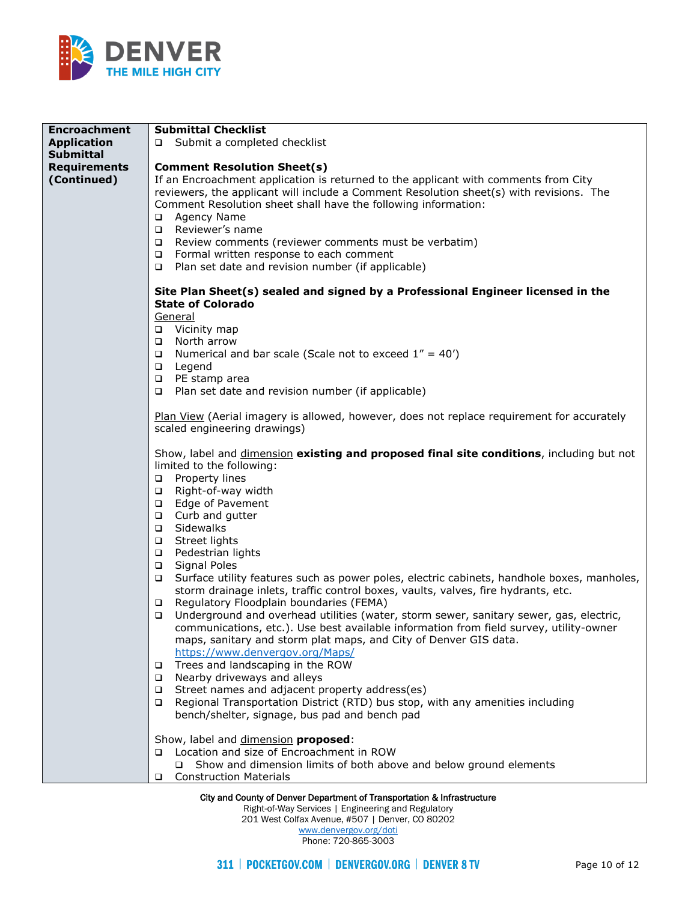

| <b>Encroachment</b>                | <b>Submittal Checklist</b>                                                                                                                                                                                                                                                                                                                                                                                                                                                                                                                                                                                                                                                                                                                                                                                            |  |  |  |
|------------------------------------|-----------------------------------------------------------------------------------------------------------------------------------------------------------------------------------------------------------------------------------------------------------------------------------------------------------------------------------------------------------------------------------------------------------------------------------------------------------------------------------------------------------------------------------------------------------------------------------------------------------------------------------------------------------------------------------------------------------------------------------------------------------------------------------------------------------------------|--|--|--|
| <b>Application</b>                 | □ Submit a completed checklist                                                                                                                                                                                                                                                                                                                                                                                                                                                                                                                                                                                                                                                                                                                                                                                        |  |  |  |
| <b>Submittal</b>                   |                                                                                                                                                                                                                                                                                                                                                                                                                                                                                                                                                                                                                                                                                                                                                                                                                       |  |  |  |
|                                    | <b>Comment Resolution Sheet(s)</b>                                                                                                                                                                                                                                                                                                                                                                                                                                                                                                                                                                                                                                                                                                                                                                                    |  |  |  |
| <b>Requirements</b><br>(Continued) | If an Encroachment application is returned to the applicant with comments from City<br>reviewers, the applicant will include a Comment Resolution sheet(s) with revisions. The<br>Comment Resolution sheet shall have the following information:<br>Agency Name<br>$\Box$<br>Reviewer's name<br>$\Box$<br>Review comments (reviewer comments must be verbatim)<br>$\Box$                                                                                                                                                                                                                                                                                                                                                                                                                                              |  |  |  |
|                                    | □ Formal written response to each comment                                                                                                                                                                                                                                                                                                                                                                                                                                                                                                                                                                                                                                                                                                                                                                             |  |  |  |
|                                    | Plan set date and revision number (if applicable)<br>$\Box$                                                                                                                                                                                                                                                                                                                                                                                                                                                                                                                                                                                                                                                                                                                                                           |  |  |  |
|                                    |                                                                                                                                                                                                                                                                                                                                                                                                                                                                                                                                                                                                                                                                                                                                                                                                                       |  |  |  |
|                                    | Site Plan Sheet(s) sealed and signed by a Professional Engineer licensed in the<br><b>State of Colorado</b><br>General                                                                                                                                                                                                                                                                                                                                                                                                                                                                                                                                                                                                                                                                                                |  |  |  |
|                                    | □ Vicinity map                                                                                                                                                                                                                                                                                                                                                                                                                                                                                                                                                                                                                                                                                                                                                                                                        |  |  |  |
|                                    | North arrow<br>$\Box$                                                                                                                                                                                                                                                                                                                                                                                                                                                                                                                                                                                                                                                                                                                                                                                                 |  |  |  |
|                                    | Numerical and bar scale (Scale not to exceed $1'' = 40'$ )<br>$\Box$<br>Legend<br>$\Box$                                                                                                                                                                                                                                                                                                                                                                                                                                                                                                                                                                                                                                                                                                                              |  |  |  |
|                                    | PE stamp area<br>$\Box$                                                                                                                                                                                                                                                                                                                                                                                                                                                                                                                                                                                                                                                                                                                                                                                               |  |  |  |
|                                    | □ Plan set date and revision number (if applicable)                                                                                                                                                                                                                                                                                                                                                                                                                                                                                                                                                                                                                                                                                                                                                                   |  |  |  |
|                                    | Plan View (Aerial imagery is allowed, however, does not replace requirement for accurately<br>scaled engineering drawings)                                                                                                                                                                                                                                                                                                                                                                                                                                                                                                                                                                                                                                                                                            |  |  |  |
|                                    | Show, label and <i>dimension</i> existing and proposed final site conditions, including but not<br>limited to the following:<br>Property lines<br>$\Box$<br>$\Box$<br>Right-of-way width<br>Edge of Pavement<br>$\Box$<br>Curb and gutter<br>$\Box$<br>Sidewalks<br>$\Box$<br>Street lights<br>$\Box$<br>Pedestrian lights<br>$\Box$<br><b>Signal Poles</b><br>$\Box$<br>Surface utility features such as power poles, electric cabinets, handhole boxes, manholes,<br>$\Box$<br>storm drainage inlets, traffic control boxes, vaults, valves, fire hydrants, etc.<br>Regulatory Floodplain boundaries (FEMA)<br>$\Box$<br>Underground and overhead utilities (water, storm sewer, sanitary sewer, gas, electric,<br>$\Box$<br>communications, etc.). Use best available information from field survey, utility-owner |  |  |  |
|                                    | maps, sanitary and storm plat maps, and City of Denver GIS data.<br>https://www.denvergov.org/Maps/<br>Trees and landscaping in the ROW<br>$\Box$<br>Nearby driveways and alleys<br>$\Box$<br>Street names and adjacent property address(es)<br>$\Box$<br>Regional Transportation District (RTD) bus stop, with any amenities including<br>$\Box$<br>bench/shelter, signage, bus pad and bench pad                                                                                                                                                                                                                                                                                                                                                                                                                    |  |  |  |
|                                    | Show, label and dimension proposed:<br>□ Location and size of Encroachment in ROW<br>□ Show and dimension limits of both above and below ground elements<br><b>Construction Materials</b><br>$\Box$                                                                                                                                                                                                                                                                                                                                                                                                                                                                                                                                                                                                                   |  |  |  |

Right-of-Way Services | Engineering and Regulatory

201 West Colfax Avenue, #507 | Denver, CO 80202

[www.denvergov.org/doti](https://www.denvergov.org/content/denvergov/en/transportation-mobility.html) Phone: 720-865-3003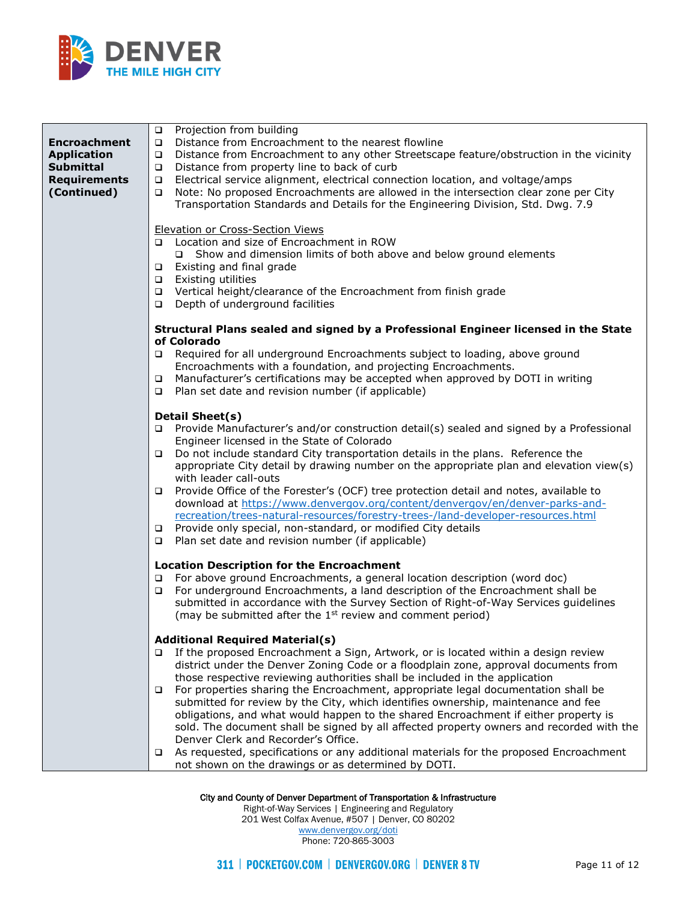

| <b>Encroachment</b><br><b>Application</b><br><b>Submittal</b><br><b>Requirements</b><br>(Continued) | Projection from building<br>$\Box$<br>Distance from Encroachment to the nearest flowline<br>$\Box$<br>Distance from Encroachment to any other Streetscape feature/obstruction in the vicinity<br>$\Box$<br>Distance from property line to back of curb<br>$\Box$<br>Electrical service alignment, electrical connection location, and voltage/amps<br>$\Box$<br>Note: No proposed Encroachments are allowed in the intersection clear zone per City<br>$\Box$<br>Transportation Standards and Details for the Engineering Division, Std. Dwg. 7.9                                             |
|-----------------------------------------------------------------------------------------------------|-----------------------------------------------------------------------------------------------------------------------------------------------------------------------------------------------------------------------------------------------------------------------------------------------------------------------------------------------------------------------------------------------------------------------------------------------------------------------------------------------------------------------------------------------------------------------------------------------|
|                                                                                                     | <b>Elevation or Cross-Section Views</b><br>□ Location and size of Encroachment in ROW<br>□ Show and dimension limits of both above and below ground elements<br>Existing and final grade<br>$\Box$<br>Existing utilities<br>$\Box$<br>Vertical height/clearance of the Encroachment from finish grade<br>$\Box$<br>Depth of underground facilities<br>$\Box$                                                                                                                                                                                                                                  |
|                                                                                                     | Structural Plans sealed and signed by a Professional Engineer licensed in the State                                                                                                                                                                                                                                                                                                                                                                                                                                                                                                           |
|                                                                                                     | of Colorado<br>□ Required for all underground Encroachments subject to loading, above ground<br>Encroachments with a foundation, and projecting Encroachments.<br>Manufacturer's certifications may be accepted when approved by DOTI in writing<br>$\Box$<br>$\Box$ Plan set date and revision number (if applicable)                                                                                                                                                                                                                                                                        |
|                                                                                                     | <b>Detail Sheet(s)</b>                                                                                                                                                                                                                                                                                                                                                                                                                                                                                                                                                                        |
|                                                                                                     | □ Provide Manufacturer's and/or construction detail(s) sealed and signed by a Professional<br>Engineer licensed in the State of Colorado<br>Do not include standard City transportation details in the plans. Reference the<br>$\Box$<br>appropriate City detail by drawing number on the appropriate plan and elevation view(s)<br>with leader call-outs                                                                                                                                                                                                                                     |
|                                                                                                     | Provide Office of the Forester's (OCF) tree protection detail and notes, available to<br>$\Box$<br>download at https://www.denvergov.org/content/denvergov/en/denver-parks-and-<br>recreation/trees-natural-resources/forestry-trees-/land-developer-resources.html                                                                                                                                                                                                                                                                                                                           |
|                                                                                                     | □ Provide only special, non-standard, or modified City details<br>Plan set date and revision number (if applicable)<br>$\Box$                                                                                                                                                                                                                                                                                                                                                                                                                                                                 |
|                                                                                                     | <b>Location Description for the Encroachment</b><br>For above ground Encroachments, a general location description (word doc)<br>$\Box$<br>For underground Encroachments, a land description of the Encroachment shall be<br>$\Box$<br>submitted in accordance with the Survey Section of Right-of-Way Services guidelines<br>(may be submitted after the 1 <sup>st</sup> review and comment period)                                                                                                                                                                                          |
|                                                                                                     | <b>Additional Required Material(s)</b><br>If the proposed Encroachment a Sign, Artwork, or is located within a design review<br>$\Box$<br>district under the Denver Zoning Code or a floodplain zone, approval documents from                                                                                                                                                                                                                                                                                                                                                                 |
|                                                                                                     | those respective reviewing authorities shall be included in the application<br>For properties sharing the Encroachment, appropriate legal documentation shall be<br>$\Box$<br>submitted for review by the City, which identifies ownership, maintenance and fee<br>obligations, and what would happen to the shared Encroachment if either property is<br>sold. The document shall be signed by all affected property owners and recorded with the<br>Denver Clerk and Recorder's Office.<br>As requested, specifications or any additional materials for the proposed Encroachment<br>$\Box$ |
|                                                                                                     | not shown on the drawings or as determined by DOTI.                                                                                                                                                                                                                                                                                                                                                                                                                                                                                                                                           |

Right-of-Way Services | Engineering and Regulatory 201 West Colfax Avenue, #507 | Denver, CO 80202 [www.denvergov.org/doti](https://www.denvergov.org/content/denvergov/en/transportation-mobility.html) Phone: 720-865-3003